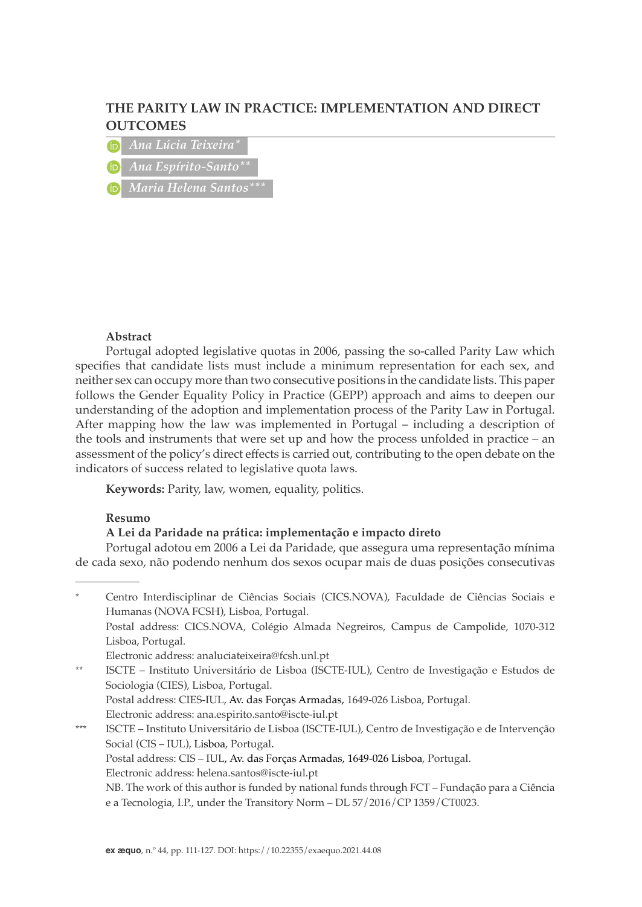# **THE PARITY LAW IN PRACTICE: IMPLEMENTATION AND DIRECT OUTCOMES**

*Ana Lúcia Teixeira\**

*Ana Espírito-Santo\*\**

*Maria Helena Santos\*\*\**

### **Abstract**

Portugal adopted legislative quotas in 2006, passing the so-called Parity Law which specifies that candidate lists must include a minimum representation for each sex, and neither sex can occupy more than two consecutive positions in the candidate lists. This paper follows the Gender Equality Policy in Practice (GEPP) approach and aims to deepen our understanding of the adoption and implementation process of the Parity Law in Portugal. After mapping how the law was implemented in Portugal – including a description of the tools and instruments that were set up and how the process unfolded in practice – an assessment of the policy's direct effects is carried out, contributing to the open debate on the indicators of success related to legislative quota laws.

**Keywords:** Parity, law, women, equality, politics.

## **Resumo**

### **A Lei da Paridade na prática: implementação e impacto direto**

Portugal adotou em 2006 a Lei da Paridade, que assegura uma representação mínima de cada sexo, não podendo nenhum dos sexos ocupar mais de duas posições consecutivas

Centro Interdisciplinar de Ciências Sociais (CICS.NOVA), Faculdade de Ciências Sociais e Humanas (NOVA FCSH), Lisboa, Portugal. Postal address: CICS.NOVA, Colégio Almada Negreiros, Campus de Campolide, 1070-312 Lisboa, Portugal.

Electronic address: analuciateixeira@fcsh.unl.pt

\*\* ISCTE – Instituto Universitário de Lisboa (ISCTE-IUL), Centro de Investigação e Estudos de Sociologia (CIES), Lisboa, Portugal. Postal address: CIES-IUL, Av. das Forças Armadas, 1649-026 Lisboa, Portugal.

Electronic address: ana.espirito.santo@iscte-iul.pt

\*\*\* ISCTE – Instituto Universitário de Lisboa (ISCTE-IUL), Centro de Investigação e de Intervenção Social (CIS – IUL), Lisboa, Portugal. Postal address: CIS – IUL, Av. das Forças Armadas, 1649-026 Lisboa, Portugal.

Electronic address: helena.santos@iscte-iul.pt

NB. The work of this author is funded by national funds through FCT – Fundação para a Ciência e a Tecnologia, I.P., under the Transitory Norm – DL 57/2016/CP 1359/CT0023.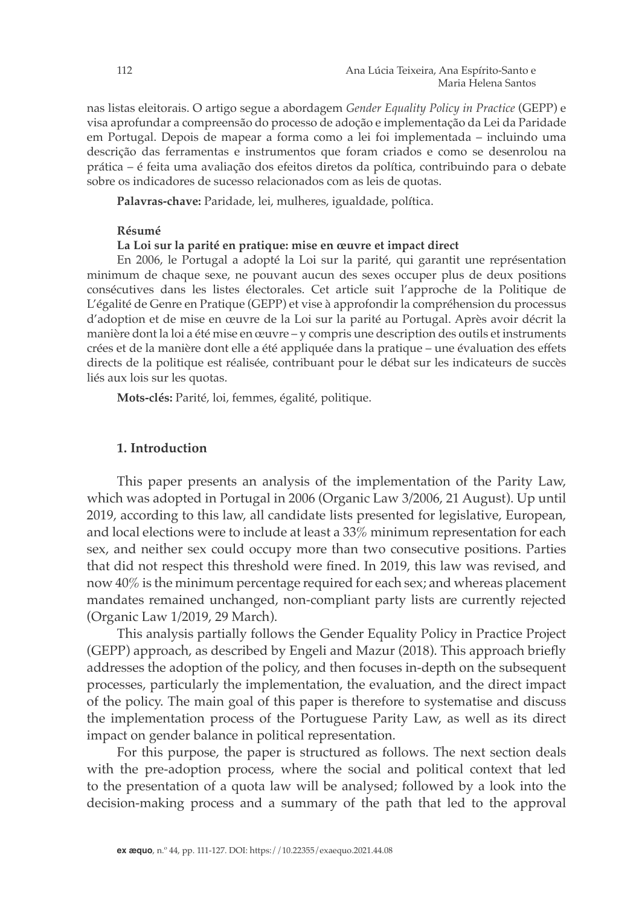nas listas eleitorais. O artigo segue a abordagem *Gender Equality Policy in Practice* (GEPP) e visa aprofundar a compreensão do processo de adoção e implementação da Lei da Paridade em Portugal. Depois de mapear a forma como a lei foi implementada – incluindo uma descrição das ferramentas e instrumentos que foram criados e como se desenrolou na prática – é feita uma avaliação dos efeitos diretos da política, contribuindo para o debate sobre os indicadores de sucesso relacionados com as leis de quotas.

**Palavras-chave:** Paridade, lei, mulheres, igualdade, política.

## **Résumé**

#### **La Loi sur la parité en pratique: mise en œuvre et impact direct**

En 2006, le Portugal a adopté la Loi sur la parité, qui garantit une représentation minimum de chaque sexe, ne pouvant aucun des sexes occuper plus de deux positions consécutives dans les listes électorales. Cet article suit l'approche de la Politique de L'égalité de Genre en Pratique (GEPP) et vise à approfondir la compréhension du processus d'adoption et de mise en œuvre de la Loi sur la parité au Portugal. Après avoir décrit la manière dont la loi a été mise en œuvre – y compris une description des outils et instruments crées et de la manière dont elle a été appliquée dans la pratique – une évaluation des effets directs de la politique est réalisée, contribuant pour le débat sur les indicateurs de succès liés aux lois sur les quotas.

**Mots-clés:** Parité, loi, femmes, égalité, politique.

## **1. Introduction**

This paper presents an analysis of the implementation of the Parity Law, which was adopted in Portugal in 2006 (Organic Law 3/2006, 21 August). Up until 2019, according to this law, all candidate lists presented for legislative, European, and local elections were to include at least a 33% minimum representation for each sex, and neither sex could occupy more than two consecutive positions. Parties that did not respect this threshold were fined. In 2019, this law was revised, and now 40% is the minimum percentage required for each sex; and whereas placement mandates remained unchanged, non-compliant party lists are currently rejected (Organic Law 1/2019, 29 March).

This analysis partially follows the Gender Equality Policy in Practice Project (GEPP) approach, as described by Engeli and Mazur (2018). This approach briefly addresses the adoption of the policy, and then focuses in-depth on the subsequent processes, particularly the implementation, the evaluation, and the direct impact of the policy. The main goal of this paper is therefore to systematise and discuss the implementation process of the Portuguese Parity Law, as well as its direct impact on gender balance in political representation.

For this purpose, the paper is structured as follows. The next section deals with the pre-adoption process, where the social and political context that led to the presentation of a quota law will be analysed; followed by a look into the decision-making process and a summary of the path that led to the approval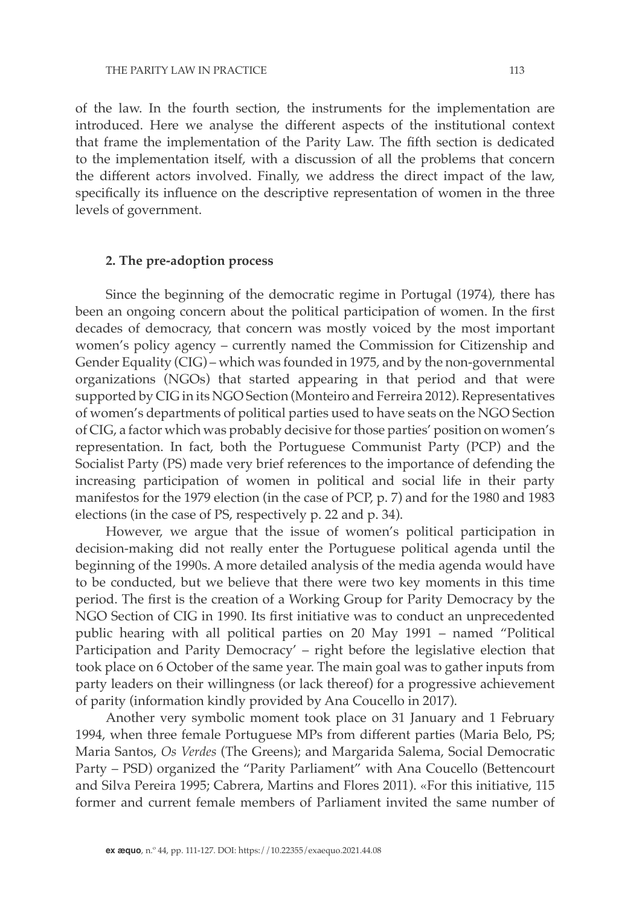of the law. In the fourth section, the instruments for the implementation are introduced. Here we analyse the different aspects of the institutional context that frame the implementation of the Parity Law. The fifth section is dedicated to the implementation itself, with a discussion of all the problems that concern the different actors involved. Finally, we address the direct impact of the law, specifically its influence on the descriptive representation of women in the three levels of government.

## **2. The pre-adoption process**

Since the beginning of the democratic regime in Portugal (1974), there has been an ongoing concern about the political participation of women. In the first decades of democracy, that concern was mostly voiced by the most important women's policy agency – currently named the Commission for Citizenship and Gender Equality (CIG) – which was founded in 1975, and by the non-governmental organizations (NGOs) that started appearing in that period and that were supported by CIG in its NGO Section (Monteiro and Ferreira 2012). Representatives of women's departments of political parties used to have seats on the NGO Section of CIG, a factor which was probably decisive for those parties' position on women's representation. In fact, both the Portuguese Communist Party (PCP) and the Socialist Party (PS) made very brief references to the importance of defending the increasing participation of women in political and social life in their party manifestos for the 1979 election (in the case of PCP, p. 7) and for the 1980 and 1983 elections (in the case of PS, respectively p. 22 and p. 34).

However, we argue that the issue of women's political participation in decision-making did not really enter the Portuguese political agenda until the beginning of the 1990s. A more detailed analysis of the media agenda would have to be conducted, but we believe that there were two key moments in this time period. The first is the creation of a Working Group for Parity Democracy by the NGO Section of CIG in 1990. Its first initiative was to conduct an unprecedented public hearing with all political parties on 20 May 1991 – named "Political Participation and Parity Democracy' – right before the legislative election that took place on 6 October of the same year. The main goal was to gather inputs from party leaders on their willingness (or lack thereof) for a progressive achievement of parity (information kindly provided by Ana Coucello in 2017).

Another very symbolic moment took place on 31 January and 1 February 1994, when three female Portuguese MPs from different parties (Maria Belo, PS; Maria Santos, *Os Verdes* (The Greens); and Margarida Salema, Social Democratic Party – PSD) organized the "Parity Parliament" with Ana Coucello (Bettencourt and Silva Pereira 1995; Cabrera, Martins and Flores 2011). «For this initiative, 115 former and current female members of Parliament invited the same number of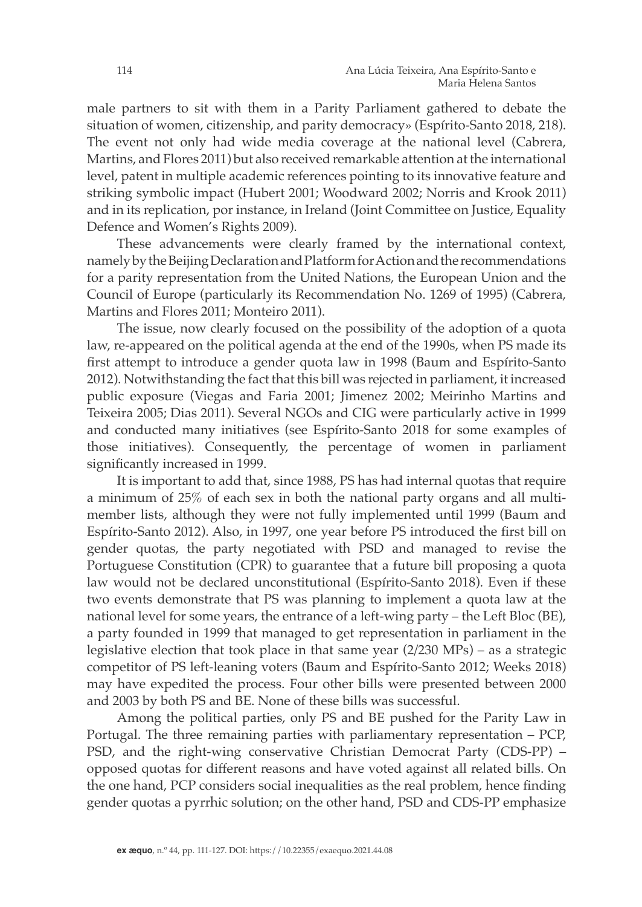male partners to sit with them in a Parity Parliament gathered to debate the situation of women, citizenship, and parity democracy» (Espírito-Santo 2018, 218). The event not only had wide media coverage at the national level (Cabrera, Martins, and Flores 2011) but also received remarkable attention at the international level, patent in multiple academic references pointing to its innovative feature and striking symbolic impact (Hubert 2001; Woodward 2002; Norris and Krook 2011) and in its replication, por instance, in Ireland (Joint Committee on Justice, Equality Defence and Women's Rights 2009).

These advancements were clearly framed by the international context, namely by the Beijing Declaration and Platform for Action and the recommendations for a parity representation from the United Nations, the European Union and the Council of Europe (particularly its Recommendation No. 1269 of 1995) (Cabrera, Martins and Flores 2011; Monteiro 2011).

The issue, now clearly focused on the possibility of the adoption of a quota law, re-appeared on the political agenda at the end of the 1990s, when PS made its first attempt to introduce a gender quota law in 1998 (Baum and Espírito-Santo 2012). Notwithstanding the fact that this bill was rejected in parliament, it increased public exposure (Viegas and Faria 2001; Jimenez 2002; Meirinho Martins and Teixeira 2005; Dias 2011). Several NGOs and CIG were particularly active in 1999 and conducted many initiatives (see Espírito-Santo 2018 for some examples of those initiatives). Consequently, the percentage of women in parliament significantly increased in 1999.

It is important to add that, since 1988, PS has had internal quotas that require a minimum of 25% of each sex in both the national party organs and all multimember lists, although they were not fully implemented until 1999 (Baum and Espírito-Santo 2012). Also, in 1997, one year before PS introduced the first bill on gender quotas, the party negotiated with PSD and managed to revise the Portuguese Constitution (CPR) to guarantee that a future bill proposing a quota law would not be declared unconstitutional (Espírito-Santo 2018). Even if these two events demonstrate that PS was planning to implement a quota law at the national level for some years, the entrance of a left-wing party – the Left Bloc (BE), a party founded in 1999 that managed to get representation in parliament in the legislative election that took place in that same year (2/230 MPs) – as a strategic competitor of PS left-leaning voters (Baum and Espírito-Santo 2012; Weeks 2018) may have expedited the process. Four other bills were presented between 2000 and 2003 by both PS and BE. None of these bills was successful.

Among the political parties, only PS and BE pushed for the Parity Law in Portugal. The three remaining parties with parliamentary representation – PCP, PSD, and the right-wing conservative Christian Democrat Party (CDS-PP) – opposed quotas for different reasons and have voted against all related bills. On the one hand, PCP considers social inequalities as the real problem, hence finding gender quotas a pyrrhic solution; on the other hand, PSD and CDS-PP emphasize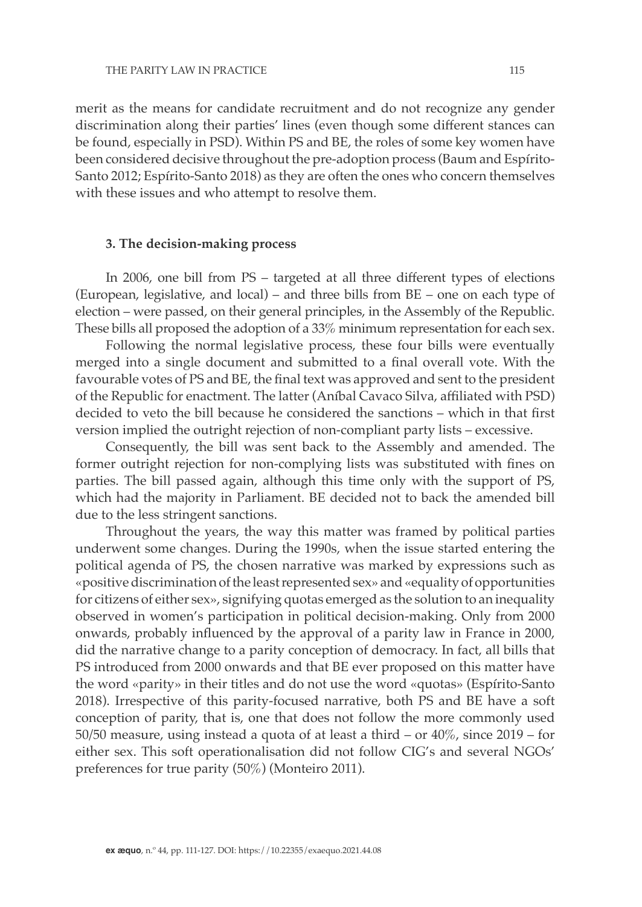merit as the means for candidate recruitment and do not recognize any gender discrimination along their parties' lines (even though some different stances can be found, especially in PSD). Within PS and BE, the roles of some key women have been considered decisive throughout the pre-adoption process (Baum and Espírito-Santo 2012; Espírito-Santo 2018) as they are often the ones who concern themselves with these issues and who attempt to resolve them.

#### **3. The decision-making process**

In 2006, one bill from PS – targeted at all three different types of elections (European, legislative, and local) – and three bills from BE – one on each type of election – were passed, on their general principles, in the Assembly of the Republic. These bills all proposed the adoption of a 33% minimum representation for each sex.

Following the normal legislative process, these four bills were eventually merged into a single document and submitted to a final overall vote. With the favourable votes of PS and BE, the final text was approved and sent to the president of the Republic for enactment. The latter (Aníbal Cavaco Silva, affiliated with PSD) decided to veto the bill because he considered the sanctions – which in that first version implied the outright rejection of non-compliant party lists – excessive.

Consequently, the bill was sent back to the Assembly and amended. The former outright rejection for non-complying lists was substituted with fines on parties. The bill passed again, although this time only with the support of PS, which had the majority in Parliament. BE decided not to back the amended bill due to the less stringent sanctions.

Throughout the years, the way this matter was framed by political parties underwent some changes. During the 1990s, when the issue started entering the political agenda of PS, the chosen narrative was marked by expressions such as «positive discrimination of the least represented sex» and «equality of opportunities for citizens of either sex», signifying quotas emerged as the solution to an inequality observed in women's participation in political decision-making. Only from 2000 onwards, probably influenced by the approval of a parity law in France in 2000, did the narrative change to a parity conception of democracy. In fact, all bills that PS introduced from 2000 onwards and that BE ever proposed on this matter have the word «parity» in their titles and do not use the word «quotas» (Espírito-Santo 2018). Irrespective of this parity-focused narrative, both PS and BE have a soft conception of parity, that is, one that does not follow the more commonly used 50/50 measure, using instead a quota of at least a third – or 40%, since 2019 – for either sex. This soft operationalisation did not follow CIG's and several NGOs' preferences for true parity (50%) (Monteiro 2011).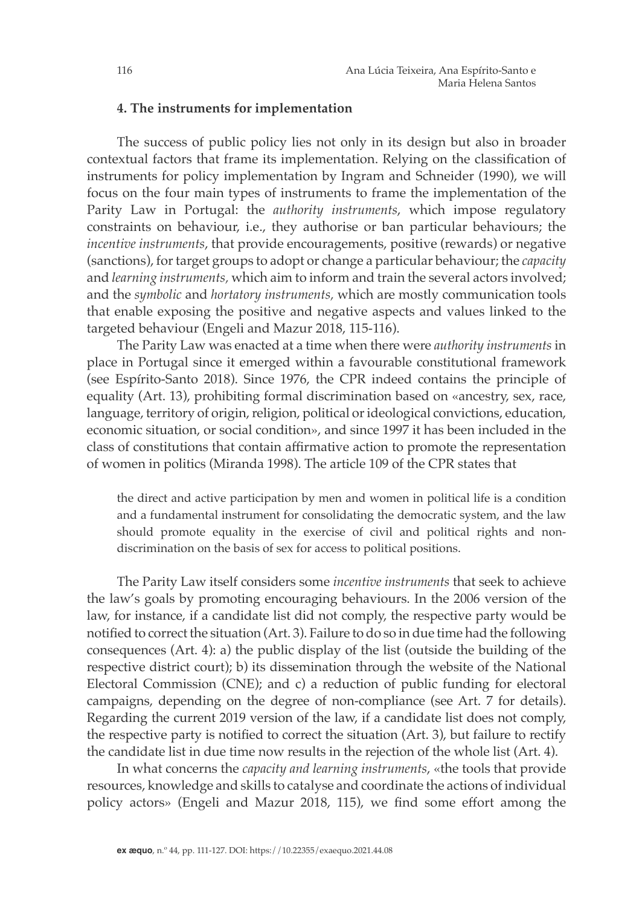#### **4. The instruments for implementation**

The success of public policy lies not only in its design but also in broader contextual factors that frame its implementation. Relying on the classification of instruments for policy implementation by Ingram and Schneider (1990), we will focus on the four main types of instruments to frame the implementation of the Parity Law in Portugal: the *authority instruments*, which impose regulatory constraints on behaviour, i.e., they authorise or ban particular behaviours; the *incentive instruments*, that provide encouragements, positive (rewards) or negative (sanctions), for target groups to adopt or change a particular behaviour; the *capacity* and *learning instruments,* which aim to inform and train the several actors involved; and the *symbolic* and *hortatory instruments,* which are mostly communication tools that enable exposing the positive and negative aspects and values linked to the targeted behaviour (Engeli and Mazur 2018, 115-116).

The Parity Law was enacted at a time when there were *authority instruments* in place in Portugal since it emerged within a favourable constitutional framework (see Espírito-Santo 2018). Since 1976, the CPR indeed contains the principle of equality (Art. 13), prohibiting formal discrimination based on «ancestry, sex, race, language, territory of origin, religion, political or ideological convictions, education, economic situation, or social condition», and since 1997 it has been included in the class of constitutions that contain affirmative action to promote the representation of women in politics (Miranda 1998). The article 109 of the CPR states that

the direct and active participation by men and women in political life is a condition and a fundamental instrument for consolidating the democratic system, and the law should promote equality in the exercise of civil and political rights and nondiscrimination on the basis of sex for access to political positions.

The Parity Law itself considers some *incentive instruments* that seek to achieve the law's goals by promoting encouraging behaviours. In the 2006 version of the law, for instance, if a candidate list did not comply, the respective party would be notified to correct the situation (Art. 3). Failure to do so in due time had the following consequences (Art. 4): a) the public display of the list (outside the building of the respective district court); b) its dissemination through the website of the National Electoral Commission (CNE); and c) a reduction of public funding for electoral campaigns, depending on the degree of non-compliance (see Art. 7 for details). Regarding the current 2019 version of the law, if a candidate list does not comply, the respective party is notified to correct the situation (Art. 3), but failure to rectify the candidate list in due time now results in the rejection of the whole list (Art. 4).

In what concerns the *capacity and learning instruments*, «the tools that provide resources, knowledge and skills to catalyse and coordinate the actions of individual policy actors» (Engeli and Mazur 2018, 115), we find some effort among the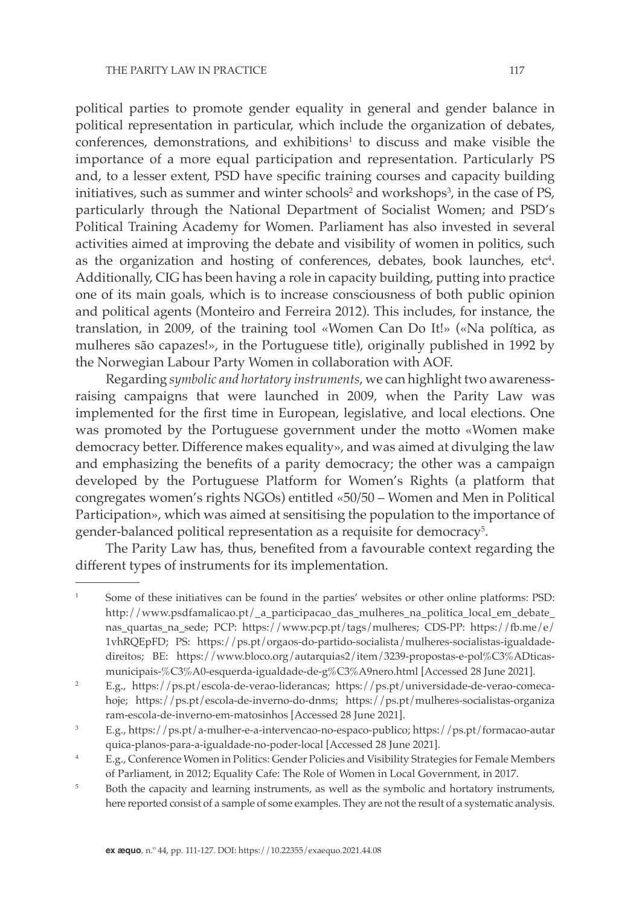political parties to promote gender equality in general and gender balance in political representation in particular, which include the organization of debates,  $\text{conferences, demonstrations,}$  and exhibitions<sup>1</sup> to discuss and make visible the importance of a more equal participation and representation. Particularly PS and, to a lesser extent, PSD have specific training courses and capacity building initiatives, such as summer and winter schools<sup>2</sup> and workshops<sup>3</sup>, in the case of PS, particularly through the National Department of Socialist Women; and PSD's Political Training Academy for Women. Parliament has also invested in several activities aimed at improving the debate and visibility of women in politics, such as the organization and hosting of conferences, debates, book launches,  $etc<sup>4</sup>$ . Additionally, CIG has been having a role in capacity building, putting into practice one of its main goals, which is to increase consciousness of both public opinion and political agents (Monteiro and Ferreira 2012). This includes, for instance, the translation, in 2009, of the training tool «Women Can Do It!» («Na política, as mulheres são capazes!», in the Portuguese title), originally published in 1992 by the Norwegian Labour Party Women in collaboration with AOF.

Regarding *symbolic and hortatory instruments*, we can highlight two awarenessraising campaigns that were launched in 2009, when the Parity Law was implemented for the first time in European, legislative, and local elections. One was promoted by the Portuguese government under the motto «Women make democracy better. Difference makes equality», and was aimed at divulging the law and emphasizing the benefits of a parity democracy; the other was a campaign developed by the Portuguese Platform for Women's Rights (a platform that congregates women's rights NGOs) entitled «50/50 – Women and Men in Political Participation», which was aimed at sensitising the population to the importance of gender-balanced political representation as a requisite for democracy $^5\!$ .

The Parity Law has, thus, benefited from a favourable context regarding the different types of instruments for its implementation.

<sup>1</sup> Some of these initiatives can be found in the parties' websites or other online platforms: PSD: http://www.psdfamalicao.pt/ a participacao das mulheres na politica local em debate nas\_quartas\_na\_sede; PCP: https://www.pcp.pt/tags/mulheres; CDS-PP: https://fb.me/e/ 1vhRQEpFD; PS: https://ps.pt/orgaos-do-partido-socialista/mulheres-socialistas-igualdadedireitos; BE: https://www.bloco.org/autarquias2/item/3239-propostas-e-pol%C3%ADticasmunicipais-%C3%A0-esquerda-igualdade-de-g%C3%A9nero.html [Accessed 28 June 2021].

<sup>2</sup> E.g., https://ps.pt/escola-de-verao-liderancas; https://ps.pt/universidade-de-verao-comecahoje; https://ps.pt/escola-de-inverno-do-dnms; https://ps.pt/mulheres-socialistas-organiza ram-escola-de-inverno-em-matosinhos [Accessed 28 June 2021].

<sup>3</sup> E.g., https://ps.pt/a-mulher-e-a-intervencao-no-espaco-publico; https://ps.pt/formacao-autar quica-planos-para-a-igualdade-no-poder-local [Accessed 28 June 2021].

<sup>4</sup> E.g., Conference Women in Politics: Gender Policies and Visibility Strategies for Female Members of Parliament, in 2012; Equality Cafe: The Role of Women in Local Government, in 2017.

<sup>&</sup>lt;sup>5</sup> Both the capacity and learning instruments, as well as the symbolic and hortatory instruments, here reported consist of a sample of some examples. They are not the result of a systematic analysis.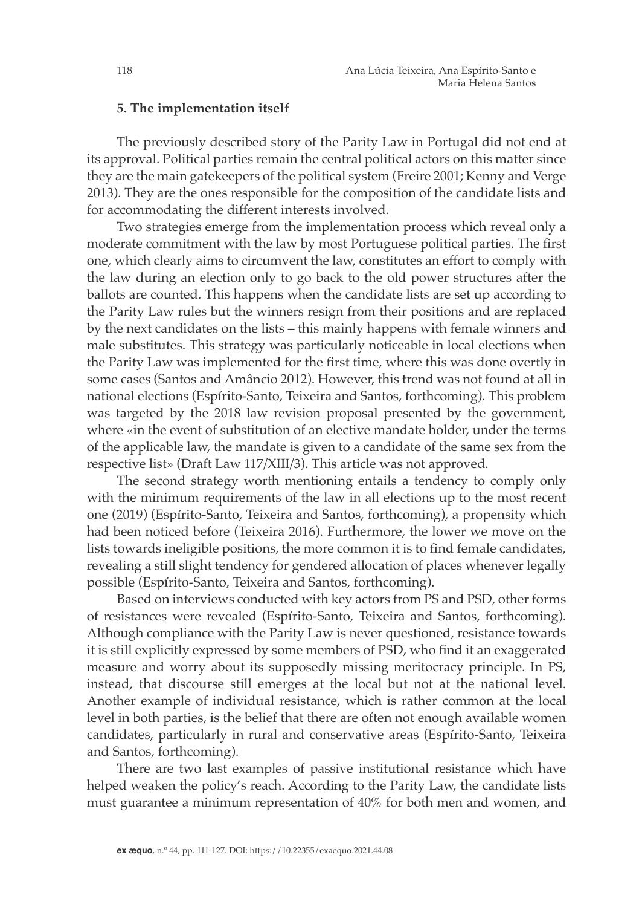### **5. The implementation itself**

The previously described story of the Parity Law in Portugal did not end at its approval. Political parties remain the central political actors on this matter since they are the main gatekeepers of the political system (Freire 2001; Kenny and Verge 2013). They are the ones responsible for the composition of the candidate lists and for accommodating the different interests involved.

Two strategies emerge from the implementation process which reveal only a moderate commitment with the law by most Portuguese political parties. The first one, which clearly aims to circumvent the law, constitutes an effort to comply with the law during an election only to go back to the old power structures after the ballots are counted. This happens when the candidate lists are set up according to the Parity Law rules but the winners resign from their positions and are replaced by the next candidates on the lists – this mainly happens with female winners and male substitutes. This strategy was particularly noticeable in local elections when the Parity Law was implemented for the first time, where this was done overtly in some cases (Santos and Amâncio 2012). However, this trend was not found at all in national elections (Espírito-Santo, Teixeira and Santos, forthcoming). This problem was targeted by the 2018 law revision proposal presented by the government, where «in the event of substitution of an elective mandate holder, under the terms of the applicable law, the mandate is given to a candidate of the same sex from the respective list» (Draft Law 117/XIII/3). This article was not approved.

The second strategy worth mentioning entails a tendency to comply only with the minimum requirements of the law in all elections up to the most recent one (2019) (Espírito-Santo, Teixeira and Santos, forthcoming), a propensity which had been noticed before (Teixeira 2016). Furthermore, the lower we move on the lists towards ineligible positions, the more common it is to find female candidates, revealing a still slight tendency for gendered allocation of places whenever legally possible (Espírito-Santo, Teixeira and Santos, forthcoming).

Based on interviews conducted with key actors from PS and PSD, other forms of resistances were revealed (Espírito-Santo, Teixeira and Santos, forthcoming). Although compliance with the Parity Law is never questioned, resistance towards it is still explicitly expressed by some members of PSD, who find it an exaggerated measure and worry about its supposedly missing meritocracy principle. In PS, instead, that discourse still emerges at the local but not at the national level. Another example of individual resistance, which is rather common at the local level in both parties, is the belief that there are often not enough available women candidates, particularly in rural and conservative areas (Espírito-Santo, Teixeira and Santos, forthcoming).

There are two last examples of passive institutional resistance which have helped weaken the policy's reach. According to the Parity Law, the candidate lists must guarantee a minimum representation of 40% for both men and women, and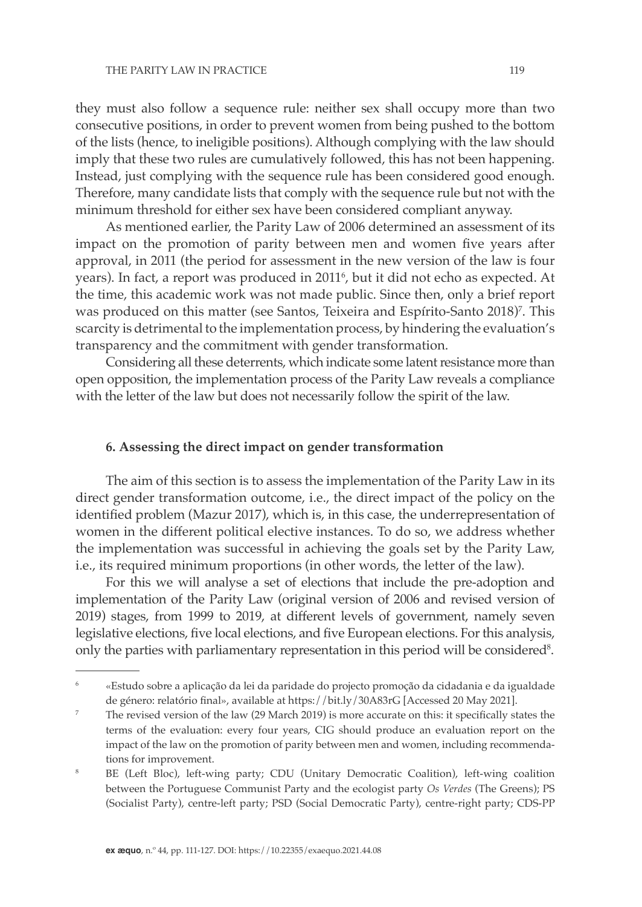they must also follow a sequence rule: neither sex shall occupy more than two consecutive positions, in order to prevent women from being pushed to the bottom of the lists (hence, to ineligible positions). Although complying with the law should imply that these two rules are cumulatively followed, this has not been happening. Instead, just complying with the sequence rule has been considered good enough. Therefore, many candidate lists that comply with the sequence rule but not with the minimum threshold for either sex have been considered compliant anyway.

As mentioned earlier, the Parity Law of 2006 determined an assessment of its impact on the promotion of parity between men and women five years after approval, in 2011 (the period for assessment in the new version of the law is four years). In fact, a report was produced in 2011°, but it did not echo as expected. At the time, this academic work was not made public. Since then, only a brief report was produced on this matter (see Santos, Teixeira and Espírito-Santo 2018)<sup>7</sup>. This scarcity is detrimental to the implementation process, by hindering the evaluation's transparency and the commitment with gender transformation.

Considering all these deterrents, which indicate some latent resistance more than open opposition, the implementation process of the Parity Law reveals a compliance with the letter of the law but does not necessarily follow the spirit of the law.

## **6. Assessing the direct impact on gender transformation**

The aim of this section is to assess the implementation of the Parity Law in its direct gender transformation outcome, i.e., the direct impact of the policy on the identified problem (Mazur 2017), which is, in this case, the underrepresentation of women in the different political elective instances. To do so, we address whether the implementation was successful in achieving the goals set by the Parity Law, i.e., its required minimum proportions (in other words, the letter of the law).

For this we will analyse a set of elections that include the pre-adoption and implementation of the Parity Law (original version of 2006 and revised version of 2019) stages, from 1999 to 2019, at different levels of government, namely seven legislative elections, five local elections, and five European elections. For this analysis, only the parties with parliamentary representation in this period will be considered $^{\rm 8}.$ 

<sup>6</sup> «Estudo sobre a aplicação da lei da paridade do projecto promoção da cidadania e da igualdade de género: relatório final», available at https://bit.ly/30A83rG [Accessed 20 May 2021].

<sup>7</sup> The revised version of the law (29 March 2019) is more accurate on this: it specifically states the terms of the evaluation: every four years, CIG should produce an evaluation report on the impact of the law on the promotion of parity between men and women, including recommendations for improvement.

<sup>8</sup> BE (Left Bloc), left-wing party; CDU (Unitary Democratic Coalition), left-wing coalition between the Portuguese Communist Party and the ecologist party *Os Verdes* (The Greens); PS (Socialist Party), centre-left party; PSD (Social Democratic Party), centre-right party; CDS-PP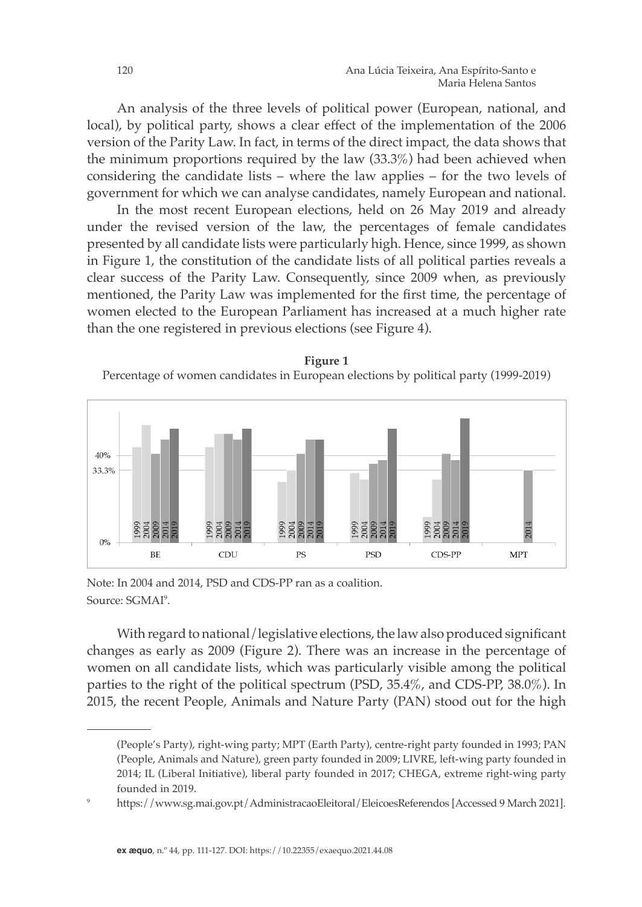An analysis of the three levels of political power (European, national, and local), by political party, shows a clear effect of the implementation of the 2006 version of the Parity Law. In fact, in terms of the direct impact, the data shows that the minimum proportions required by the law (33.3%) had been achieved when considering the candidate lists – where the law applies – for the two levels of government for which we can analyse candidates, namely European and national.

In the most recent European elections, held on 26 May 2019 and already under the revised version of the law, the percentages of female candidates presented by all candidate lists were particularly high. Hence, since 1999, as shown in Figure 1, the constitution of the candidate lists of all political parties reveals a clear success of the Parity Law. Consequently, since 2009 when, as previously mentioned, the Parity Law was implemented for the first time, the percentage of women elected to the European Parliament has increased at a much higher rate than the one registered in previous elections (see Figure 4).

**Figure 1** Percentage of women candidates in European elections by political party (1999-2019)



Note: In 2004 and 2014, PSD and CDS-PP ran as a coalition. Note: In 2004 and 2014, PSD and CDS-PP ran as a coalition. Source: SGMAI<sup>9</sup>. Note: In 2004 and 2014, PSD and CDS-PP ran as a coal  $130 \times 11200$ 

With regard to national/legislative elections, the law also produced significant changes as early as 2009 (Figure 2). There was an increase in the percentage of **Figure 2** women on all candidate lists, which was particularly visible among the political parties to the right of the political spectrum (PSD, 35.4%, and CDS-PP, 38.0%). In 2015, the recent People, Animals and Nature Party (PAN) stood out for the high **Percentage of women candidates in legislative elections by political party (1999–2019) Figure 2 Percentage of women candidates inlegislative elections by political party (1999–2019)**

<sup>(</sup>People's Party), right-wing party; MPT (Earth Party), centre-right party founded in 1993; PAN (People, Animals and Nature), green party founded in 2009; LIVRE, left-wing party founded in 2014; IL (Liberal Initiative), liberal party founded in 2017; CHEGA, extreme right-wing party founded in 2019.

<sup>9</sup> https://www.sg.mai.gov.pt/AdministracaoEleitoral/EleicoesReferendos [Accessed 9 March 2021].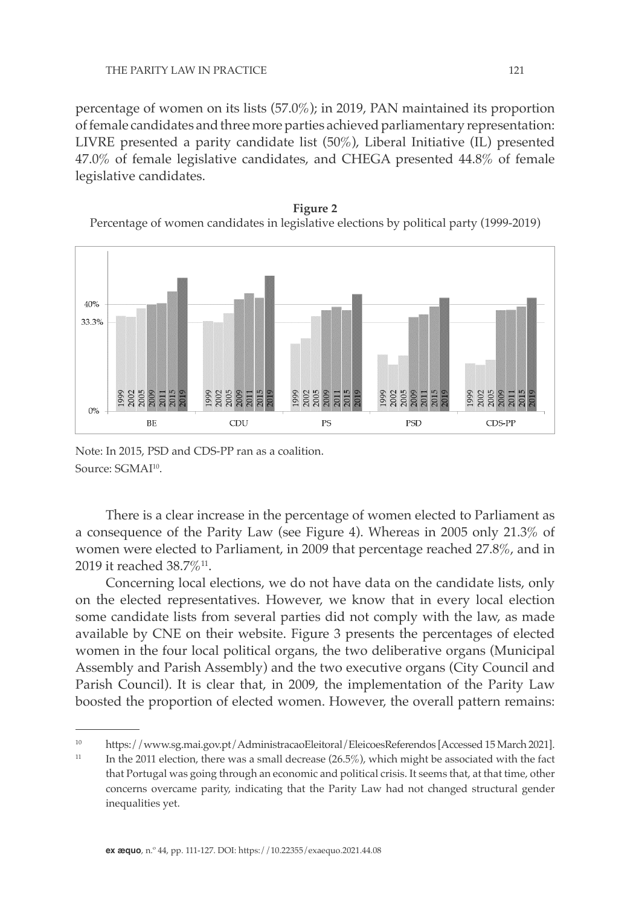percentage of women on its lists (57.0%); in 2019, PAN maintained its proportion of female candidates and three more parties achieved parliamentary representation: LIVRE presented a parity candidate list (50%), Liberal Initiative (IL) presented 47.0% of female legislative candidates, and CHEGA presented 44.8% of female legislative candidates.  $\pm$ 7.0/0 01 ieu

**Figure 2** Percentage of women candidates in legislative elections by political party (1999-2019)



Note: In 2015, PSD and CDS-PP ran as a coalition. Note: In 2015, PSD and CDS-PP ran as a coalition. Source: SGMAI<sup>10</sup>.

There is a clear increase in the percentage of women elected to Parliament as a consequence of the Parity Law (see Figure 4). Whereas in 2005 only 21.3% of women were elected to Parliament, in 2009 that percentage reached 27.8%, and in 2019 it reached 38.7%11.

Concerning local elections, we do not have data on the candidate lists, only on the elected representatives. However, we know that in every local election some candidate lists from several parties did not comply with the law, as made available by CNE on their website. Figure 3 presents the percentages of elected women in the four local political organs, the two deliberative organs (Municipal  $\frac{1}{2}$ Assembly and Parish Assembly) and the two executive organs (City Council and Parish Council). It is clear that, in 2009, the implementation of the Parity Law boosted the proportion of elected women. However, the overall pattern remains: women in the four local political organs, the two deliberative organs

<sup>10</sup> https://www.sg.mai.gov.pt/AdministracaoEleitoral/EleicoesReferendos [Accessed 15 March 2021].

<sup>&</sup>lt;sup>11</sup> In the 2011 election, there was a small decrease (26.5%), which might be associated with the fact that Portugal was going through an economic and political crisis. It seems that, at that time, other concerns overcame parity, indicating that the Parity Law had not changed structural gender inequalities yet.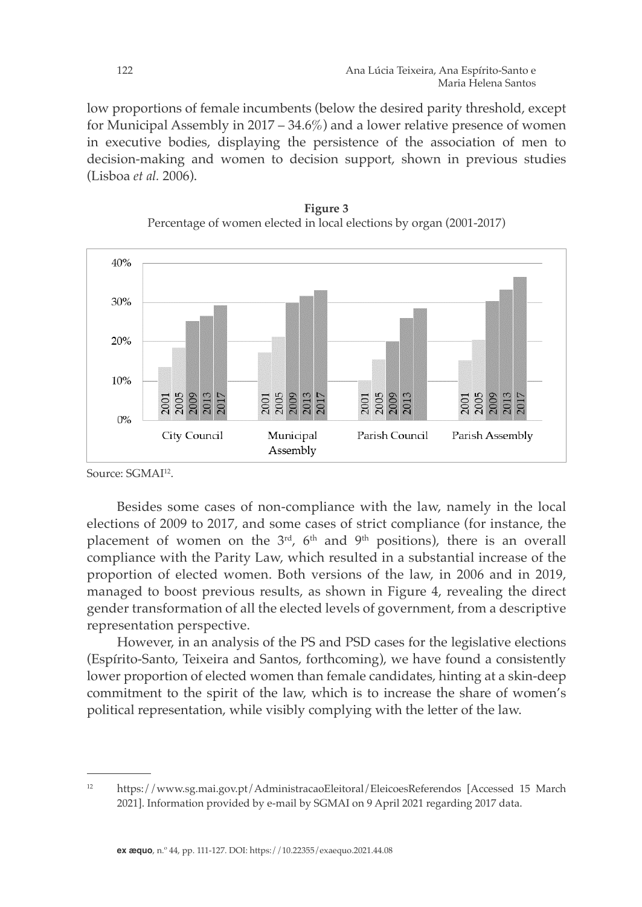low proportions of female incumbents (below the desired parity threshold, except for Municipal Assembly in 2017 – 34.6%) and a lower relative presence of women in executive bodies, displaying the persistence of the association of men to decision-making and women to decision support, shown in previous studies (Lisboa *et al.* 2006).





Source: SGMAI<sup>12</sup>.

Besides some cases of non-compliance with the law, namely in the local elections of 2009 to 2017, and some cases of strict compliance (for instance, the placement of women on the  $3<sup>rd</sup>$ ,  $6<sup>th</sup>$  and  $9<sup>th</sup>$  positions), there is an overall compliance with the Parity Law, which resulted in a substantial increase of the proportion of elected women. Both versions of the law, in 2006 and in 2019, managed to boost previous results, as shown in Figure 4, revealing the direct gender transformation of all the elected levels of government, from a descriptive representation perspective.

However, in an analysis of the PS and PSD cases for the legislative elections (Espírito-Santo, Teixeira and Santos, forthcoming), we have found a consistently lower proportion of elected women than female candidates, hinting at a skin-deep commitment to the spirit of the law, which is to increase the share of women's political representation, while visibly complying with the letter of the law.

<sup>12</sup> https://www.sg.mai.gov.pt/AdministracaoEleitoral/EleicoesReferendos [Accessed 15 March 2021]. Information provided by e-mail by SGMAI on 9 April 2021 regarding 2017 data.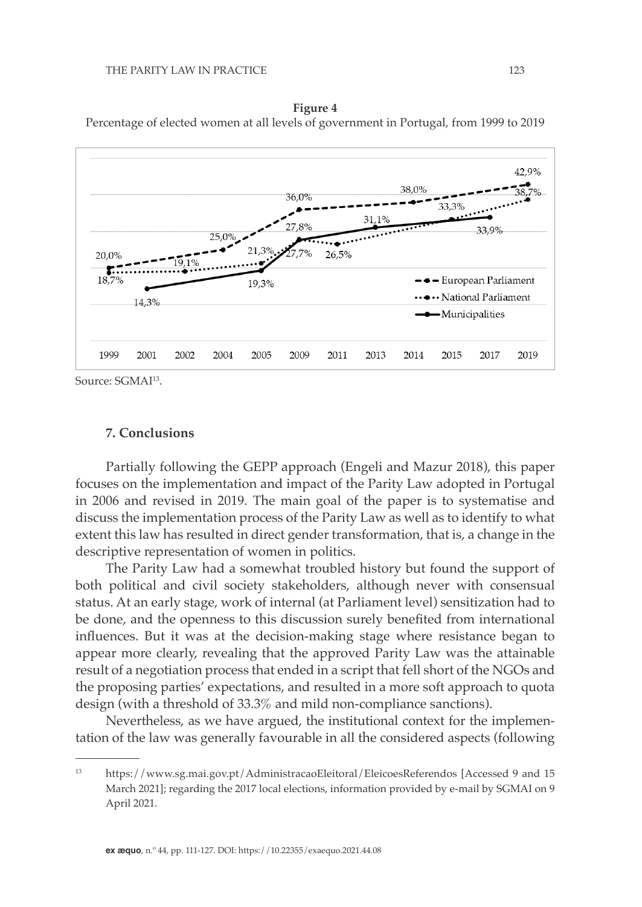



Source: SGMAI<sup>13</sup>.

## **7. Conclusions**

Partially following the GEPP approach (Engeli and Mazur 2018), this paper focuses on the implementation and impact of the Parity Law adopted in Portugal in 2006 and revised in 2019. The main goal of the paper is to systematise and discuss the implementation process of the Parity Law as well as to identify to what extent this law has resulted in direct gender transformation, that is, a change in the descriptive representation of women in politics.

The Parity Law had a somewhat troubled history but found the support of both political and civil society stakeholders, although never with consensual status. At an early stage, work of internal (at Parliament level) sensitization had to be done, and the openness to this discussion surely benefited from international influences. But it was at the decision-making stage where resistance began to appear more clearly, revealing that the approved Parity Law was the attainable result of a negotiation process that ended in a script that fell short of the NGOs and the proposing parties' expectations, and resulted in a more soft approach to quota design (with a threshold of 33.3% and mild non-compliance sanctions).

Nevertheless, as we have argued, the institutional context for the implementation of the law was generally favourable in all the considered aspects (following

<sup>13</sup> https://www.sg.mai.gov.pt/AdministracaoEleitoral/EleicoesReferendos [Accessed 9 and 15 March 2021]; regarding the 2017 local elections, information provided by e-mail by SGMAI on 9 April 2021.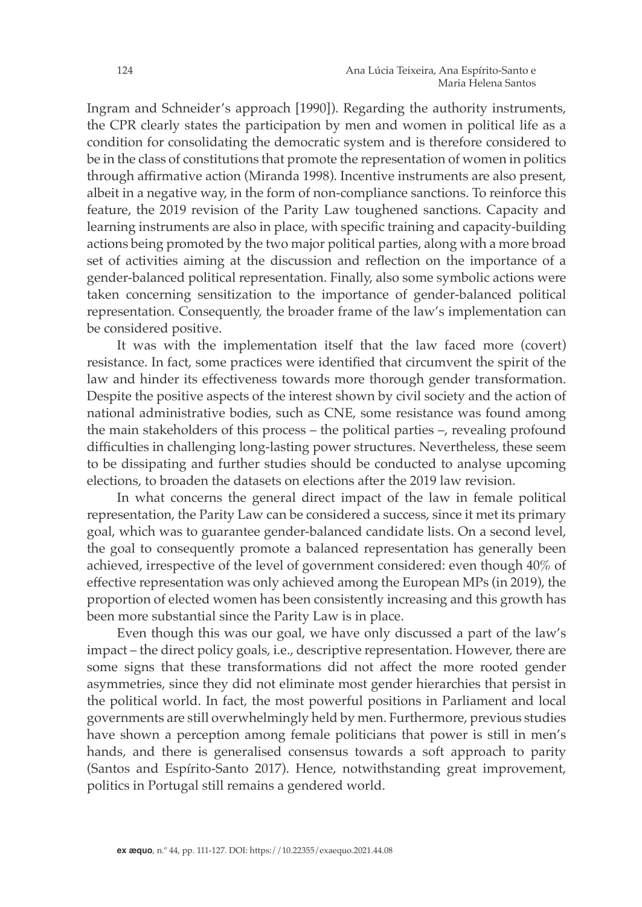Ingram and Schneider's approach [1990]). Regarding the authority instruments, the CPR clearly states the participation by men and women in political life as a condition for consolidating the democratic system and is therefore considered to be in the class of constitutions that promote the representation of women in politics through affirmative action (Miranda 1998). Incentive instruments are also present, albeit in a negative way, in the form of non-compliance sanctions. To reinforce this feature, the 2019 revision of the Parity Law toughened sanctions. Capacity and learning instruments are also in place, with specific training and capacity-building actions being promoted by the two major political parties, along with a more broad set of activities aiming at the discussion and reflection on the importance of a gender-balanced political representation. Finally, also some symbolic actions were taken concerning sensitization to the importance of gender-balanced political representation. Consequently, the broader frame of the law's implementation can be considered positive.

It was with the implementation itself that the law faced more (covert) resistance. In fact, some practices were identified that circumvent the spirit of the law and hinder its effectiveness towards more thorough gender transformation. Despite the positive aspects of the interest shown by civil society and the action of national administrative bodies, such as CNE, some resistance was found among the main stakeholders of this process – the political parties –, revealing profound difficulties in challenging long-lasting power structures. Nevertheless, these seem to be dissipating and further studies should be conducted to analyse upcoming elections, to broaden the datasets on elections after the 2019 law revision.

In what concerns the general direct impact of the law in female political representation, the Parity Law can be considered a success, since it met its primary goal, which was to guarantee gender-balanced candidate lists. On a second level, the goal to consequently promote a balanced representation has generally been achieved, irrespective of the level of government considered: even though 40% of effective representation was only achieved among the European MPs (in 2019), the proportion of elected women has been consistently increasing and this growth has been more substantial since the Parity Law is in place.

Even though this was our goal, we have only discussed a part of the law's impact – the direct policy goals, i.e., descriptive representation. However, there are some signs that these transformations did not affect the more rooted gender asymmetries, since they did not eliminate most gender hierarchies that persist in the political world. In fact, the most powerful positions in Parliament and local governments are still overwhelmingly held by men. Furthermore, previous studies have shown a perception among female politicians that power is still in men's hands, and there is generalised consensus towards a soft approach to parity (Santos and Espírito-Santo 2017). Hence, [notwithstanding](https://www.linguee.pt/ingles-portugues/traducao/notwithstanding.html) great improvement, politics in Portugal still remains a gendered world.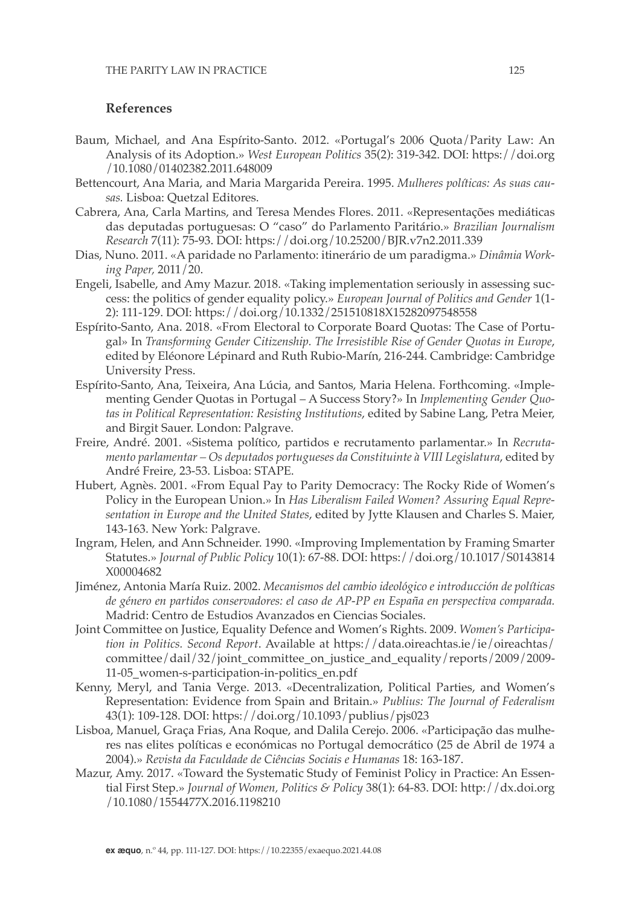# **References**

- Baum, Michael, and Ana Espírito-Santo. 2012. «Portugal's 2006 Quota/Parity Law: An Analysis of its Adoption.» *West European Politics* 35(2): 319-342. DOI: https://doi.org /10.1080/01402382.2011.648009
- Bettencourt, Ana Maria, and Maria Margarida Pereira. 1995. *Mulheres políticas: As suas causas.* Lisboa: Quetzal Editores.
- Cabrera, Ana, Carla Martins, and Teresa Mendes Flores. 2011. «Representações mediáticas das deputadas portuguesas: O "caso" do Parlamento Paritário.» *Brazilian Journalism Research* 7(11): 75-93. DOI: https://doi.org/10.25200/BJR.v7n2.2011.339
- Dias, Nuno. 2011. «A paridade no Parlamento: itinerário de um paradigma.» *Dinâmia Working Paper,* 2011/20.
- Engeli, Isabelle, and Amy Mazur. 2018. «Taking implementation seriously in assessing success: the politics of gender equality policy.» *European Journal of Politics and Gender* 1(1- 2): 111-129. DOI: https://doi.org/10.1332/251510818X15282097548558
- Espírito-Santo, Ana. 2018. «From Electoral to Corporate Board Quotas: The Case of Portugal» In *Transforming Gender Citizenship. The Irresistible Rise of Gender Quotas in Europe*, edited by Eléonore Lépinard and Ruth Rubio-Marín, 216-244. Cambridge: Cambridge University Press.
- Espírito-Santo, Ana, Teixeira, Ana Lúcia, and Santos, Maria Helena. Forthcoming. «Implementing Gender Quotas in Portugal – A Success Story?» In *Implementing Gender Quotas in Political Representation: Resisting Institutions*, edited by Sabine Lang, Petra Meier, and Birgit Sauer. London: Palgrave.
- Freire, André. 2001. «Sistema político, partidos e recrutamento parlamentar.» In *Recrutamento parlamentar – Os deputados portugueses da Constituinte à VIII Legislatura*, edited by André Freire, 23-53. Lisboa: STAPE.
- Hubert, Agnès. 2001. «From Equal Pay to Parity Democracy: The Rocky Ride of Women's Policy in the European Union.» In *Has Liberalism Failed Women? Assuring Equal Representation in Europe and the United States*, edited by Jytte Klausen and Charles S. Maier, 143-163. New York: Palgrave.
- Ingram, Helen, and Ann Schneider. 1990. «Improving Implementation by Framing Smarter Statutes.» *Journal of Public Policy* 10(1): 67-88. DOI: https://doi.org/10.1017/S0143814 X00004682
- Jiménez, Antonia María Ruiz. 2002. *Mecanismos del cambio ideológico e introducción de políticas de género en partidos conservadores: el caso de AP-PP en España en perspectiva comparada.*  Madrid: Centro de Estudios Avanzados en Ciencias Sociales.
- Joint Committee on Justice, Equality Defence and Women's Rights. 2009. *Women's Participation in Politics. Second Report*. Available at https://data.oireachtas.ie/ie/oireachtas/ committee/dail/32/joint\_committee\_on\_justice\_and\_equality/reports/2009/2009- 11-05\_women-s-participation-in-politics\_en.pdf
- Kenny, Meryl, and Tania Verge. 2013. «Decentralization, Political Parties, and Women's Representation: Evidence from Spain and Britain.» *Publius: The Journal of Federalism*  43(1): 109-128. DOI: https://doi.org/10.1093/publius/pjs023
- Lisboa, Manuel, Graça Frias, Ana Roque, and Dalila Cerejo. 2006. «Participação das mulheres nas elites políticas e económicas no Portugal democrático (25 de Abril de 1974 a 2004).» *Revista da Faculdade de Ciências Sociais e Humanas* 18: 163-187.
- Mazur, Amy. 2017. «Toward the Systematic Study of Feminist Policy in Practice: An Essential First Step.» *Journal of Women, Politics & Policy* 38(1): 64-83. DOI: http://dx.doi.org /10.1080/1554477X.2016.1198210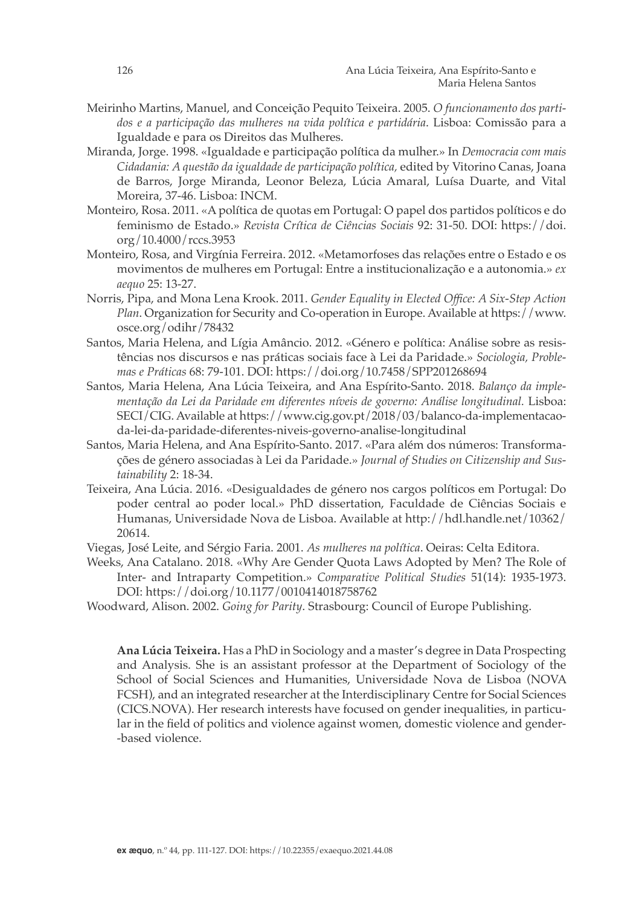- Meirinho Martins, Manuel, and Conceição Pequito Teixeira. 2005. *O funcionamento dos partidos e a participação das mulheres na vida política e partidária*. Lisboa: Comissão para a Igualdade e para os Direitos das Mulheres.
- Miranda, Jorge. 1998. «Igualdade e participação política da mulher.» In *Democracia com mais Cidadania: A questão da igualdade de participação política,* edited by Vitorino Canas, Joana de Barros, Jorge Miranda, Leonor Beleza, Lúcia Amaral, Luísa Duarte, and Vital Moreira, 37-46. Lisboa: INCM.
- Monteiro, Rosa. 2011. «A política de quotas em Portugal: O papel dos partidos políticos e do feminismo de Estado.» *Revista Crítica de Ciências Sociais* 92: 31-50. DOI: https://doi. org/10.4000/rccs.3953
- Monteiro, Rosa, and Virgínia Ferreira. 2012. «Metamorfoses das relações entre o Estado e os movimentos de mulheres em Portugal: Entre a institucionalização e a autonomia.» *ex aequo* 25: 13-27.
- Norris, Pipa, and Mona Lena Krook. 2011. *Gender Equality in Elected Office: A Six-Step Action Plan*. Organization for Security and Co-operation in Europe. Available at https://www. osce.org/odihr/78432
- Santos, Maria Helena, and Lígia Amâncio. 2012. «Género e política: Análise sobre as resistências nos discursos e nas práticas sociais face à Lei da Paridade.» *Sociologia, Problemas e Práticas* 68: 79-101. DOI: https://doi.org/10.7458/SPP201268694
- Santos, Maria Helena, Ana Lúcia Teixeira, and Ana Espírito-Santo. 2018. *Balanço da implementação da Lei da Paridade em diferentes níveis de governo: Análise longitudinal.* Lisboa: SECI/CIG. Available at https://www.cig.gov.pt/2018/03/balanco-da-implementacaoda-lei-da-paridade-diferentes-niveis-governo-analise-longitudinal
- Santos, Maria Helena, and Ana Espírito-Santo. 2017. «Para além dos números: Transformações de género associadas à Lei da Paridade.» *Journal of Studies on Citizenship and Sustainability* 2: 18-34.
- Teixeira, Ana Lúcia. 2016. «Desigualdades de género nos cargos políticos em Portugal: Do poder central ao poder local.» PhD dissertation, Faculdade de Ciências Sociais e Humanas, Universidade Nova de Lisboa. Available at http://hdl.handle.net/10362/ 20614.
- Viegas, José Leite, and Sérgio Faria. 2001. *As mulheres na política*. Oeiras: Celta Editora.
- Weeks, Ana Catalano. 2018. «Why Are Gender Quota Laws Adopted by Men? The Role of Inter- and Intraparty Competition.» *Comparative Political Studies* 51(14): 1935-1973. DOI: https://doi.org/10.1177/0010414018758762
- Woodward, Alison. 2002. *Going for Parity*. Strasbourg: Council of Europe Publishing.

**Ana Lúcia Teixeira.** Has a PhD in Sociology and a master's degree in Data Prospecting and Analysis. She is an assistant professor at the Department of Sociology of the School of Social Sciences and Humanities, Universidade Nova de Lisboa (NOVA FCSH), and an integrated researcher at the Interdisciplinary Centre for Social Sciences (CICS.NOVA). Her research interests have focused on gender inequalities, in particular in the field of politics and violence against women, domestic violence and gender- -based violence.